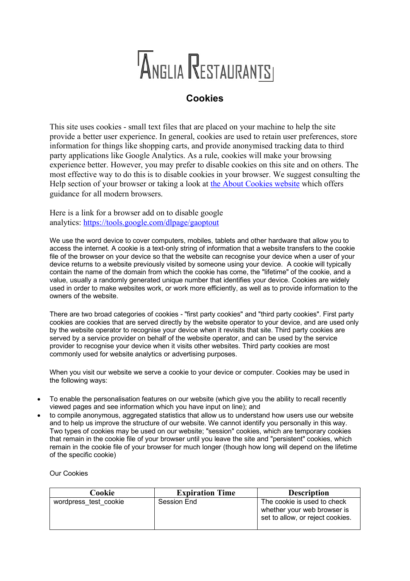## ANGLIA RESTAURANTSI

## **Cookies**

This site uses cookies - small text files that are placed on your machine to help the site provide a better user experience. In general, cookies are used to retain user preferences, store information for things like shopping carts, and provide anonymised tracking data to third party applications like Google Analytics. As a rule, cookies will make your browsing experience better. However, you may prefer to disable cookies on this site and on others. The most effective way to do this is to disable cookies in your browser. We suggest consulting the Help section of your browser or taking a look at the About Cookies website which offers guidance for all modern browsers.

Here is a link for a browser add on to disable google analytics: https://tools.google.com/dlpage/gaoptout

We use the word device to cover computers, mobiles, tablets and other hardware that allow you to access the internet. A cookie is a text-only string of information that a website transfers to the cookie file of the browser on your device so that the website can recognise your device when a user of your device returns to a website previously visited by someone using your device. A cookie will typically contain the name of the domain from which the cookie has come, the "lifetime" of the cookie, and a value, usually a randomly generated unique number that identifies your device. Cookies are widely used in order to make websites work, or work more efficiently, as well as to provide information to the owners of the website.

There are two broad categories of cookies - "first party cookies" and "third party cookies". First party cookies are cookies that are served directly by the website operator to your device, and are used only by the website operator to recognise your device when it revisits that site. Third party cookies are served by a service provider on behalf of the website operator, and can be used by the service provider to recognise your device when it visits other websites. Third party cookies are most commonly used for website analytics or advertising purposes.

When you visit our website we serve a cookie to your device or computer. Cookies may be used in the following ways:

- To enable the personalisation features on our website (which give you the ability to recall recently viewed pages and see information which you have input on line); and
- to compile anonymous, aggregated statistics that allow us to understand how users use our website and to help us improve the structure of our website. We cannot identify you personally in this way. Two types of cookies may be used on our website; "session" cookies, which are temporary cookies that remain in the cookie file of your browser until you leave the site and "persistent" cookies, which remain in the cookie file of your browser for much longer (though how long will depend on the lifetime of the specific cookie)

Our Cookies

| Cookie                | <b>Expiration Time</b> | <b>Description</b>                                                                             |
|-----------------------|------------------------|------------------------------------------------------------------------------------------------|
| wordpress test cookie | Session End            | The cookie is used to check<br>whether your web browser is<br>set to allow, or reject cookies. |